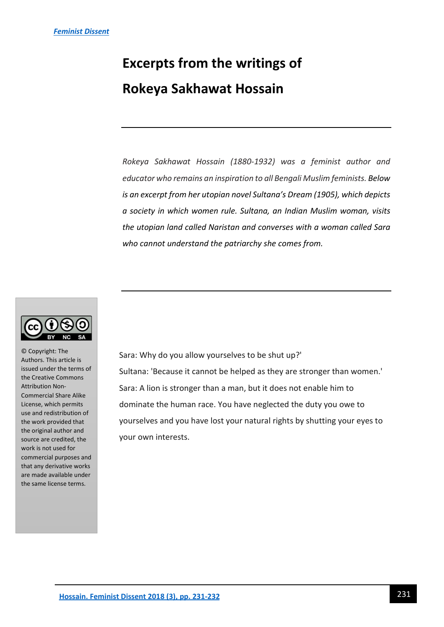## **Excerpts from the writings of Rokeya Sakhawat Hossain**

*Rokeya Sakhawat Hossain (1880-1932) was a feminist author and educator who remains an inspiration to all Bengali Muslim feminists. Below is an excerpt from her utopian novel Sultana's Dream (1905), which depicts a society in which women rule. Sultana, an Indian Muslim woman, visits the utopian land called Naristan and converses with a woman called Sara who cannot understand the patriarchy she comes from.* 



© Copyright: The Authors. This article is issued under the terms of the Creative Commons Attribution Non-Commercial Share Alike License, which permits use and redistribution of the work provided that the original author and source are credited, the work is not used for commercial purposes and that any derivative works are made available under the same license terms.

Sara: Why do you allow yourselves to be shut up?' Sultana: 'Because it cannot be helped as they are stronger than women.' Sara: A lion is stronger than a man, but it does not enable him to dominate the human race. You have neglected the duty you owe to yourselves and you have lost your natural rights by shutting your eyes to your own interests.